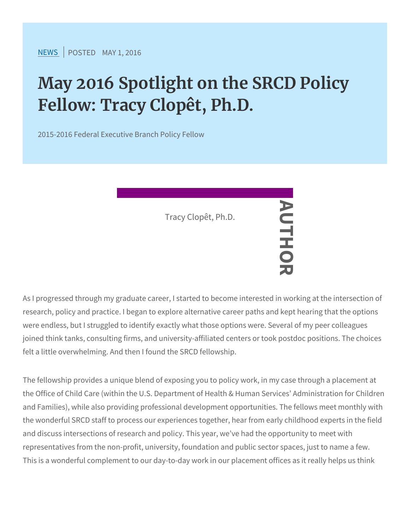$N$  E W SP O S T ENDA Y 1, 2016

## May 2016 Spotlight on the SRCD Fellow: Tracy Clopêt, Ph.D.

2015-2016 Federal Executive Branch Policy Fellow

As I progressed through my graduate career, **I** started to become in research, policy and practice. I began to explore alternative career were endless, but I struggled to identify exactly what those options joined think tanks, consulting firms, and university-affiliated cente felt a little overwhelming. And then I found the SRCD fellowship. Tracy Clopêt, Ph.

The fellowship provides a unique blend of exposing you to policy w the Office of Child Care (within the U.S. Department of Health & Human Service of Child Care (within the U.S. and Families), while also providing professional development oppor the wonderful SRCD staff to process our experiences together, hea and discuss intersections of research and policy. This year, we ve representatives from the non-profit, university, foundation and pub This is a wonderful complement to our day-to-day work in our place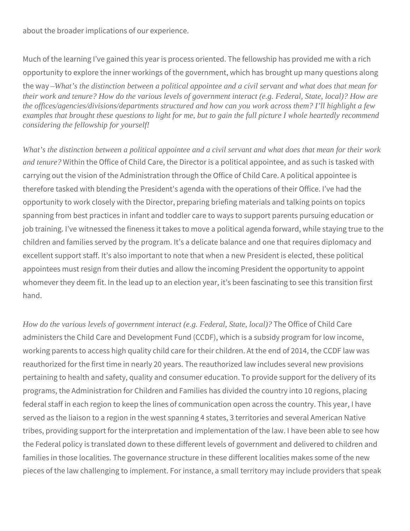about the broader implications of our experience.

Much of the learning I've gained this year is process oriented. The fellowship has provided me with a rich opportunity to explore the inner workings of the government, which has brought up many questions along the way *–What's the distinction between a political appointee and a civil servant and what does that mean for their work and tenure? How do the various levels of government interact (e.g. Federal, State, local)? How are the offices/agencies/divisions/departments structured and how can you work across them? I'll highlight a few examples that brought these questions to light for me, but to gain the full picture I whole heartedly recommend considering the fellowship for yourself!*

*What's the distinction between a political appointee and a civil servant and what does that mean for their work and tenure?* Within the Office of Child Care, the Director is a political appointee, and as such is tasked with carrying out the vision of the Administration through the Office of Child Care. A political appointee is therefore tasked with blending the President's agenda with the operations of their Office. I've had the opportunity to work closely with the Director, preparing briefing materials and talking points on topics spanning from best practices in infant and toddler care to ways to support parents pursuing education or job training. I've witnessed the fineness it takes to move a political agenda forward, while staying true to the children and families served by the program. It's a delicate balance and one that requires diplomacy and excellent support staff. It's also important to note that when a new President is elected, these political appointees must resign from their duties and allow the incoming President the opportunity to appoint whomever they deem fit. In the lead up to an election year, it's been fascinating to see this transition first hand.

*How do the various levels of government interact (e.g. Federal, State, local)?* The Office of Child Care administers the Child Care and Development Fund (CCDF), which is a subsidy program for low income, working parents to access high quality child care for their children. At the end of 2014, the CCDF law was reauthorized for the first time in nearly 20 years. The reauthorized law includes several new provisions pertaining to health and safety, quality and consumer education. To provide support for the delivery of its programs, the Administration for Children and Families has divided the country into 10 regions, placing federal staff in each region to keep the lines of communication open across the country. This year, I have served as the liaison to a region in the west spanning 4 states, 3 territories and several American Native tribes, providing support for the interpretation and implementation of the law. I have been able to see how the Federal policy is translated down to these different levels of government and delivered to children and families in those localities. The governance structure in these different localities makes some of the new pieces of the law challenging to implement. For instance, a small territory may include providers that speak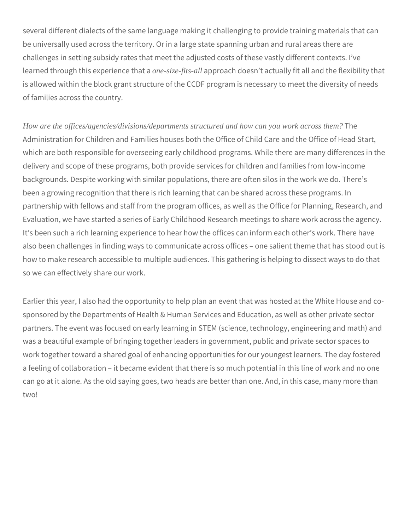several different dialects of the same language making it challenging to provide training materials that can be universally used across the territory. Or in a large state spanning urban and rural areas there are challenges in setting subsidy rates that meet the adjusted costs of these vastly different contexts. I've learned through this experience that a *one-size-fits-all* approach doesn't actually fit all and the flexibility that is allowed within the block grant structure of the CCDF program is necessary to meet the diversity of needs of families across the country.

*How are the offices/agencies/divisions/departments structured and how can you work across them?* The Administration for Children and Families houses both the Office of Child Care and the Office of Head Start, which are both responsible for overseeing early childhood programs. While there are many differences in the delivery and scope of these programs, both provide services for children and families from low-income backgrounds. Despite working with similar populations, there are often silos in the work we do. There's been a growing recognition that there is rich learning that can be shared across these programs. In partnership with fellows and staff from the program offices, as well as the Office for Planning, Research, and Evaluation, we have started a series of Early Childhood Research meetings to share work across the agency. It's been such a rich learning experience to hear how the offices can inform each other's work. There have also been challenges in finding ways to communicate across offices – one salient theme that has stood out is how to make research accessible to multiple audiences. This gathering is helping to dissect ways to do that so we can effectively share our work.

Earlier this year, I also had the opportunity to help plan an event that was hosted at the White House and cosponsored by the Departments of Health & Human Services and Education, as well as other private sector partners. The event was focused on early learning in STEM (science, technology, engineering and math) and was a beautiful example of bringing together leaders in government, public and private sector spaces to work together toward a shared goal of enhancing opportunities for our youngest learners. The day fostered a feeling of collaboration – it became evident that there is so much potential in this line of work and no one can go at it alone. As the old saying goes, two heads are better than one. And, in this case, many more than two!